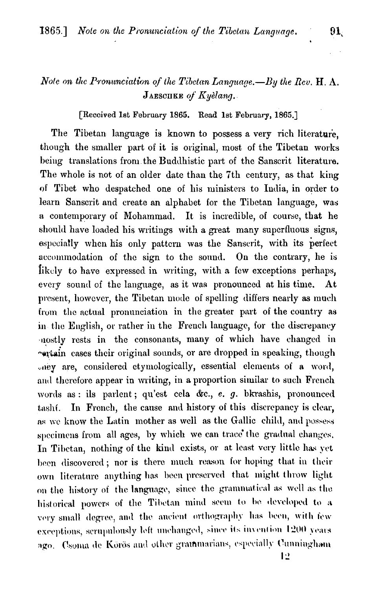## Note on the Pronunciation of the Tibetan Language. - By the Rev. H.  $\Lambda$ . JAESCHKE of Kyelang.

[Received 1st February 1865. Read 1st February, 1865.]

The Tibetan language is known to possess a very rich literature. though the smaller part of it is original, most of the Tibetan works being translations from the Buddhistic part of the Sanscrit literature. The whole is not of an older date than the 7th century, as that king of Tibet who despatched one of his ministers to India, in order to learn Sanscrit and create an alphabet for the Tibetan language, was a contemporary of Mohammad. It is incredible, of course, that he should have loaded his writings with a great many superfluous signs, especially when his only pattern was the Sanscrit, with its perfect accommodation of the sign to the sound. On the contrary, he is likely to have expressed in writing, with a few exceptions perhaps, every sound of the language, as it was pronounced at his time. At present, however, the Tibetan mode of spelling differs nearly as much from the actual pronunciation in the greater part of the country as in the English, or rather in the French language, for the discrepancy nostly rests in the consonants, many of which have changed in rectain cases their original sounds, or are dropped in speaking, though oney are, considered etymologically, essential elements of a word, and therefore appear in writing, in a proportion similar to such French words as: ils parlent; qu'est cela &c., e. g. bkrashis, pronounced In French, the cause and history of this discrepancy is clear, tashí. as we know the Latin mother as well as the Gallic child, and possess specimens from all ages, by which we can trace the gradual changes. In Tibetan, nothing of the kind exists, or at least very little has yet been discovered; nor is there much reason for hoping that in their own literature anything has been preserved that might throw light on the history of the language, since the grammatical as well as the historical powers of the Tibetan mind seem to be developed to a very small degree, and the ancient orthography has been, with few exceptions, scrupulously left unchanged, since its invention 1200 years ago. Csoma de Körös and other grammarians, especially Cunningham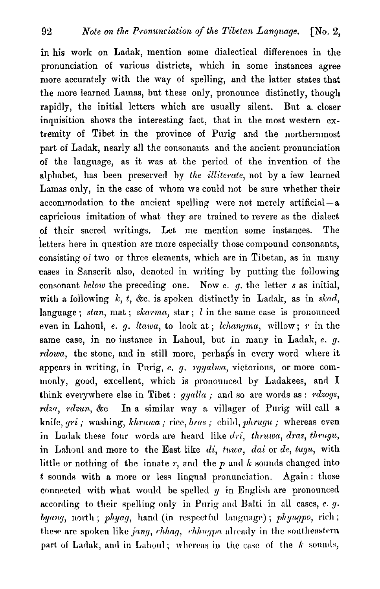in his work on Ladak, mention some dialectical differences in the pronunciation of various districts, which in some instances agree more accurately with the way of spelling, and the latter states that the more learned Lamas, but these only, pronounce distinctly, though rapidly, the initial letters which are usually silent. But a closer inquisition shows the interesting fact, that in the most western extremity of Tibet in the province of Purig and the northernmost part of Ladak, nearly all the consonants and the ancient pronunciation of the language, as it was at the period of the invention of the alphabet, has been preserved by the illiterate, not by a few learned Lamas only, in the case of whom we could not be sure whether their accommodation to the ancient spelling were not merely artificial  $-a$ capricious imitation of what they are trained to revere as the dialect of their sncrecl writings. Let me mention some instances. The letters here in question are more especially those compound consonants, consisting of two or thrce elements, which are in Tibetan, as in many cases in Sanscrit also, denoted in writing by putting the following consonant beloru the preceding one. Now **c.** g. the letter **s** as initial, with a following  $k$ ,  $t$ ,  $\&c$ . is spoken distinctly in Ladak, as in skad, language; stan, mat; skarma, star;  $l$  in the same case is pronounced even in Lahoul, e. g. ltawa, to look at; lchangma, willow; r in the same case, in no instance in Lahoul, but in many in Ladak,  $e$ .  $g$ .  $rdowa$ , the stone, and in still more, perhaps in every word where it appears in writing, in Purig, e. g.  $rqualwa$ , victorious, or more commonly, good, excellent, which is pronounced by Ladakees, and I think everywhere else in Tibet :  $qyalla$ ; and so are words as : rdzogs, rdza, rdzun, &c In a similar way a villager of Purig will call a knife, gri ; washing, *khruwa* ; rice, *bras* ; child, phrugu; whereas even in Ladak these four words are heard like *dri, thruwa, dras, thrugu,* in Lahoul and more to the East like  $di$ , *tuwa*,  $dai$  or  $de$ , *tugu*, with little or nothing of the innate  $r$ , and the  $p$  and  $k$  sounds changed into *t* sounds with a more or less lingual pronunciation. Again: those connected with what would be spelled  $y$  in English are pronounced according to their spelling only in Purig and Balti in all cases,  $e. g.$  $by any,$  north; phyag, hand (in respectful language); phyugpo, rich; these are spoken like *jang, chhag, chhugpa* already in the southeastern part of Ladak, and in Lahoul; whereas in the case of the *k* sounds,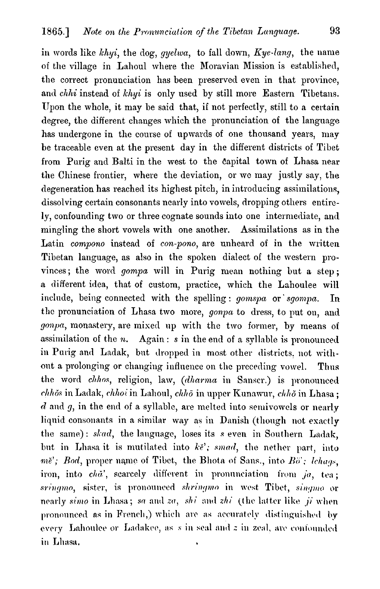in words like  $khyi$ , the dog, gyelwa, to fall down,  $Kye$ -lang, the name of the village in Lahoul where the Moravian Mission is established, the correct pronunciation has been preserved even in that province, and  $chhi$  instead of  $khyi$  is only used by still more Eastern Tibetans. Upon the whole, it may be said that, if not perfectly, still to a certain degree, the different changes which the pronunciation of the language has undergone in the course of upwards of one thousand years, may be traceable even at the present day in the different districts of Tibet from Purig and Balti in the west to the Capital town of Lhasa near the Chinese frontier, where the deviation, or **mc** may justly say, the degeneration has reached its highest pitch, in introducing assimilations, dissolving certain consonants nearly into vowels, dropping others entirely, confounding two or three cognate sounds into one intermediate, and mingling the short vowels with one another. Assimilations as in the Latin compono instead of con-pono, are unheard of in the written Tibetan language, as also in the spoken dialect of the western provinces; the word gompa will in Purig mean nothing but **a** step; a different idea, that of custom, practice, which the Lahoulee will include, being connected with the spelling : gomspa or sgompa. In the pronunciation of Lhasa two more, gonpa to dress, to put on, and gonpa, monastery, are mixed up with the two former, by means of assimilation of the *n*. Again: *s* in the end of a syllable is pronounced in Purig and Ladak, but dropped in most other districts. not withont a prolonging or changing influence on the preceding vowel. Thus the word chhos, religion, law, (dharma in Sanscr.) is pronounced  $chh\delta s$  in Ladak,  $chho\delta$  in Lahoul,  $chh\delta$  in upper Kunawur,  $chh\delta$  in Lhasa ; *d* and *g*, in the end of a syllable, are melted into semivowels or nearly liquid consonants in a similar way as in Danish (though not exactly the same): skad, the language, loses its s even in Southern Ladak, but in Lhasa it is mutilated into  $k\tilde{e}'$ ; *smad*, the nether part, into  $m\check{e}'$ ; Bod, proper name of Tibet, the Bhota of Sans., into  $B\check{o}'$ : lchaqs. iron, into cha', scarcely different in pronunciation from ja, tea; sringmo, sister, is pronounced shringmo in west Tibet, singmo or nearly simo in Lhasa; so and zo, shi and zhi (the latter like  $ji$  when pronounced as in French,) which are as accurately distinguished by every Lahoulee or Ladakee, as s in seal and z in zeal, are confounded

in Lhasa.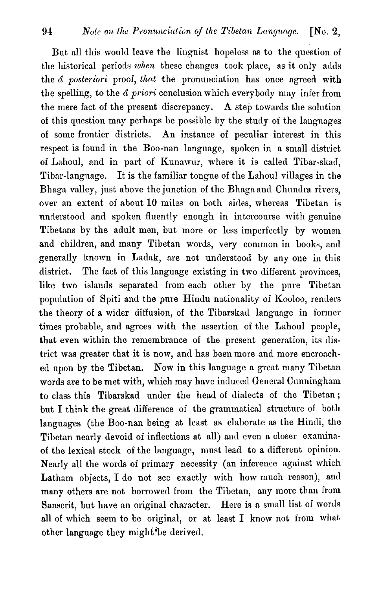But all this would leave the linguist hopeless as to the question of the historical periods *when* these changes took place, as it only adds the *a posteriori* proof, *that* the pronunciation has once agreed with the spelling, to the *a priori* conclusion which everybody may infer from the mere fact of the present discrepancy. A step towards the solution of this question may perhaps be possible by the stucly of the languages of some frontier districts. An instance of peculiar interest in this respect is found in the Boo-nan language, spoken in a small district of Lahoul, and in part of Kunawur, where it is called Tibar-skad, Tibar-language. It is the familiar tongue of the Lahoul villages in the Bhaga valley, just above the junction of the Bhaga and Chundra rivers, over an extent of about 10 miles on both sides, whereas Tibetan is understood and spoken fluently enough in intercourse with genuine Tibetans by the adult men, but more or less imperfectly by women and children, and many Tibetan words, very common in books, and generally known in Ladak, are not understood by any one in this district. The fact of this language existing in two different provinces, like two islands separated from each other by the pure Tibetan population of Spiti and the pure Hindu nationality of Kooloo, renders the theory of a wider diffusion, of the Tibarskad language in former times probable, and agrees with the assertion of the Lahoul people, that even within the remembrance of the present generation, its district was greater that it is now, and has been more and more encroached upon by the Tibetan. Now in this language a great many Tibetan words are to be met with, which may have induced General Cunningham to class this Tibarskad under the head of dialects of the Tibetan; but I think the great difference of the grammatical structure of both languages (the Boo-nan being at least as elaborate as the Hindi, the Tibetan nearly devoid of inflections at all) and even a closer examinaof the lexical stock of the language, must lead to a different opinion. Nearly all the words of primary necessity (an inference against which Latham objects, I do not see exactly with how much reason), and many others are not borrowed from the Tibetan, any more than from Sanscrit, but have an original character. Here is a small list of words all of which seem to be original, or at least I know not from what other language they might<sup>t</sup>be derived.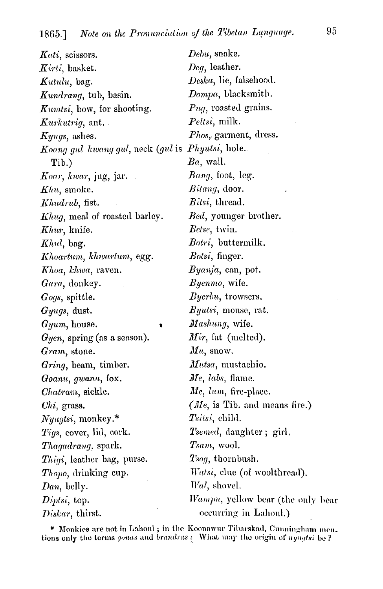$Kati$ , scissors. Kirti, basket. Kutulu, bag. Kundrang, tub, basin. *Kumtsi*, bow, for shooting. *Kurkutrig*, ant.  $Kyuqs$ , ashes. Koang gul kwang gul, neck (gul is Phyutsi, hole. Tib.) Koar, kwar, jug, jar.  $Khu$ , smoke. Khudrub. fist. Khug, meal of roasted barley. Khur, knife.  $Khu,$  bag. Khoartum, khwartum, egg. Khoa, khwa, raven. Gara, donkey.  $Gogs$ , spittle.  $\bm{G}$ yugs, dust.  $G_{\mathcal{V}}(m)$ , house.  $Gyen$ , spring (as a season). Gram, stone. Gring, beam, timber. Goanu, gwanu, fox. Chatram, sickle.  $Chi$ , grass.  $Nyugtsi$ , monkey.\* Tigs, cover, lid, cork. *Thagadrang*. spark. Thigi, leather bag, purse.  $\mathit{Though}$ , drinking cup.  $Dan$ , belly.  $Diptsi$ , top. Diskar, thirst.

 $Debu$ , snake.  $Deq$ , leather. Deska, lie, falsehood. Dompa, blacksmith. Pug, roasted grains. *Peltsi*, milk. *Phos*, garment, dress.  $Ba$ , wall.  $Banq$ , foot, leg. *Bitang*, door. *Bitsi*, thread. *Bed*, younger brother. Betse, twin. *Botri*, buttermilk. *Botsi*, finger. Byanja, can, pot. Byenmo, wife. Byerbu, trowsers. *Byutsi*, mouse, rat. Mashung, wife. Mir, fat (melted).  $\mathbf{M} u$ , snow. *Mutsa*, mustachio. Me, labs, flame. Me, lum, fire-place. (Me, is Tib. and means fire.) Tsitsi, child. *Tsemed*, daughter; girl. Tsam, wool.  $T<sub>soq</sub>$ , thornbush. *Watsi*, clue (of woolthread). Wal, shovel. Wampu, yellow bear (the only bear occurring in Lahoul.)

\* Monkies are not in Lahoul; in the Koonawur Tibarskad, Cunningham men. tions only the terms gonas and brandras: What may the origin of nyugtsi be?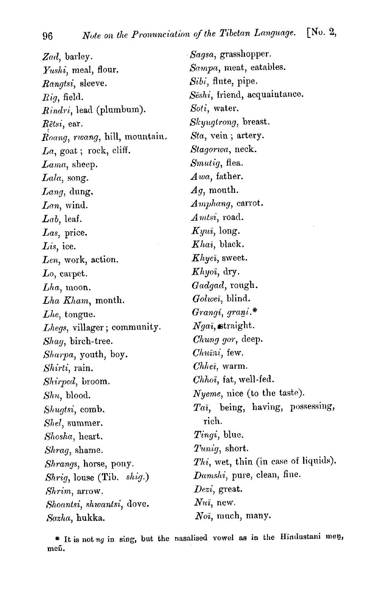Zad, barley. Yushi, meal, flour. Rangtsi, sleeve.  $Riq$ , field. Rindri, lead (plumbum). Rētsi, ear. Roang, rwang, hill, mountain. La, goat; rock, cliff. Lama, sheep.  $Lala$ , song.  $Lang,$  dung.  $Lan$ , wind.  $Lab,$  leaf. Las, price. Lis, ice. Len, work, action.  $Lo$ , carpet.  $Lha$ , moon. Lha Kham, month.  $Lhe$ , tongue. Lhegs, villager; community. Shaq, birch-tree. Sharpa, youth, boy. Shirti, rain. Shirped, broom.  $Shu$ , blood. Shugtsi, comb. Shel, summer. Shosha, heart. Shrag, shame. Shrangs, horse, pony. Shrig, louse (Tib. shig.) Shrim, arrow. Shoantsi, shwantsi, dove. Sazha, hukka.

- Sagsa, grasshopper. Sampa, meat, eatables. Sibi, flute, pipe. Seshi, friend, acquaintance. Soti, water. Skyugtrong, breast. Sta, vein; artery. Stagorwa, neck. Smutig, flea. Awa, father.  $Ag$ , mouth. Amphang, carrot.  $Amtsi$ , road.  $Kyui, long.$ *Khai*, black. Khyei, sweet.  $Khyoi$ , dry. Gadgad, rough. Golwei, blind. Grangi, grani.\*  $Nga$ <sub>i</sub>, straight. *Chung gor*, deep. Chuini, few.  $Chhei$ , warm. Chhoi, fat, well-fed. *Nyeme*, nice (to the taste). Tai, being, having, possessing, rich. Tingi, blue. *Tuniq*, short. Thi, wet, thin (in case of liquids).  $Damshi$ , pure, clean, fine.  $Dezi$ , great.  $Nui$ , new.  $Noi$ , much, many.

\* It is not ng in sing, but the nasalised vowel as in the Hindustani men, meñ.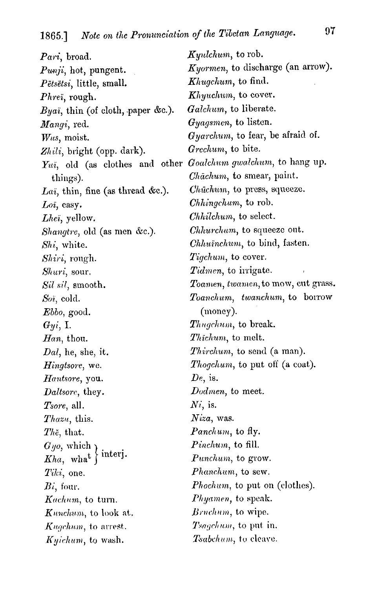| Pari, broad.                                                  | $Kyulchum$ , to rob.                  |  |
|---------------------------------------------------------------|---------------------------------------|--|
| $Punji$ , hot, pungent.                                       | Kyormen, to discharge (an arrow).     |  |
| $P$ ētsētsi, little, small.                                   | <i>Khugchum</i> , to find.            |  |
| $\it Phrei, \, rough.$                                        | Khyuchum, to cover.                   |  |
| $Bya$ , thin (of cloth, paper &c.).                           | Galchum, to liberate.                 |  |
| $\emph{Mangi}, \emph{red}.$                                   | Gyagsmen, to listen.                  |  |
| $Wus$ , moist.                                                | $Gyarchum$ , to fear, be afraid of.   |  |
| Zhili, bright (opp. dark).                                    | Grechum, to bite.                     |  |
| Yui, old (as clothes and other Goalchum gwalchum, to hang up. |                                       |  |
| things).                                                      | <i>Chachum</i> , to smear, paint.     |  |
| Lai, thin, fine (as thread &c.).                              | Chūchum, to press, squeeze.           |  |
| $Loi$ , easy.                                                 | <i>Chhingchum</i> , to rob.           |  |
| Lhei, yellow.                                                 | Chhilchum, to select.                 |  |
| Shangtre, old (as men &c.).                                   | Chhurchum, to squeeze out.            |  |
| Shi, white.                                                   | <i>Chhuinchum</i> , to bind, fasten.  |  |
| Shiri, rough.                                                 | $Tigchum$ , to cover.                 |  |
| Shuri, sour.                                                  | <i>Tidmen</i> , to irrigate.          |  |
| Sil sil, smooth.                                              | Toamen, twamen, to mow, cut grass.    |  |
| Soi, cold.                                                    | $To an chum,$ twanchum, to borrow     |  |
| $Ebbo$ , good.                                                | (money).                              |  |
| Gyi, I.                                                       | Thugchum, to break.                   |  |
| $Han$ , thou.                                                 | <i>Thichum</i> , to melt.             |  |
| $Dal$ , he, she, it.                                          | <i>Thirchum</i> , to send (a man).    |  |
| Hingtsore, we.                                                | Thogchum, to put off (a coat).        |  |
| Hantsore, you.                                                | $De$ , is.                            |  |
| Daltsore, they.                                               | Dodmen, to meet.                      |  |
| <i>Tsore</i> , all.                                           | $Ni$ , is.                            |  |
| <i>Thazu</i> , this.                                          | $Niza$ , was.                         |  |
| $Th\check{e}$ , that.                                         | <i>Panchum</i> , to fly.              |  |
| $Gyo$ , which                                                 | <i>Pinchum</i> , to fill.             |  |
| $Kha$ , what $\int$ interj.                                   | Punchum, to grow.                     |  |
| $Tiki$ , one.                                                 | Phanchum, to sew.                     |  |
| $Bi$ , four.                                                  | <i>Phochum</i> , to put on (clothes). |  |
| Kachum, to turn.                                              | Phyamen, to speak.                    |  |
| <i>Kunchum</i> , to look at.                                  | Bruchum, to wipe.                     |  |
| <i>Kugchum</i> , to arrest.                                   | Tsagchum, to put in.                  |  |
| Kyichum, to wash.                                             | <i>Tsabchum</i> , to cleave.          |  |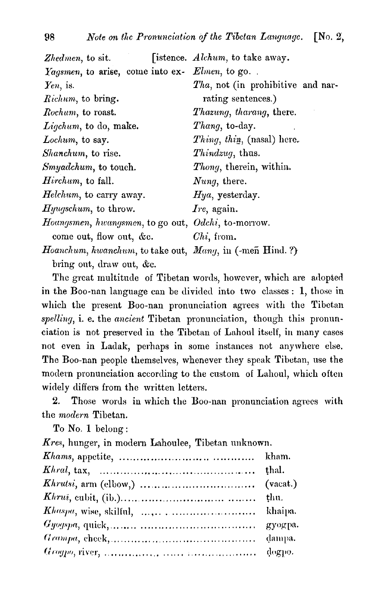| Zhedmen, to sit.                                              | [istence. Alchum, to take away.   |
|---------------------------------------------------------------|-----------------------------------|
| Yagsmen, to arise, come into ex- Elmen, to go.                |                                   |
| $Yen$ , is.                                                   | Tha, not (in prohibitive and nar- |
| Richum, to bring.                                             | rating sentences.)                |
| Rochum, to roast.                                             | Thazung, tharang, there.          |
| Ligchum, to do, make.                                         | <i>Thang</i> , to-day.            |
| Lochum, to say.                                               | $Things, thin, (nasal) here.$     |
| Shanchum, to rise.                                            | <i>Thindzug</i> , thus.           |
| Smyadchum, to touch.                                          | <i>Thong</i> , therein, within.   |
| $H$ <i>irchum</i> , to fall.                                  | Nung, there.                      |
| $H$ elchum, to carry away.                                    | $Hya$ , yesterday.                |
| $Hyugschum$ , to throw.                                       | $I$ re, again.                    |
| Hoangsmen, hwangsmen, to go out, $\it{Odchi},$ to-morrow.     |                                   |
| come out, flow out, $\&c.$                                    | $Chi$ , from.                     |
| Hoanchum, hwanchum, to take out, $\;$ Mang, in (-meñ Hind. ?) |                                   |

bring out, draw out,  $\&c$ .

The great multitude of Tibetan words, however, which are adopted in the Boo-nan language can be divided into two classes : 1, those in which the present Boo-nan pronunciation agrees with the Tibetan spelling, i. e. the ancient Tibetan pronunciation, though this pronunciation is not preserved in the Tibetan of Lahoul itself, in many cases not even in Ladak, perhaps in some instances not anywhere else. The Boo-nan people themselves, whenever they speak Tibetan, use the modern pronunciation according to the custom of Lahoul, which often widely differs from the written letters.

**2.** Those words in which the Boo-nan pronunciation agrees with the modern Tibetan.

To No. 1 belong :

Kres, hunger, in modern Lahoulee, Tibetan unknown.

| $Khrust, arm (elbow,) \ldots \ldots \ldots \ldots \ldots \ldots \ldots \ldots$ (vacat.) |  |
|-----------------------------------------------------------------------------------------|--|
|                                                                                         |  |
|                                                                                         |  |
|                                                                                         |  |
|                                                                                         |  |
|                                                                                         |  |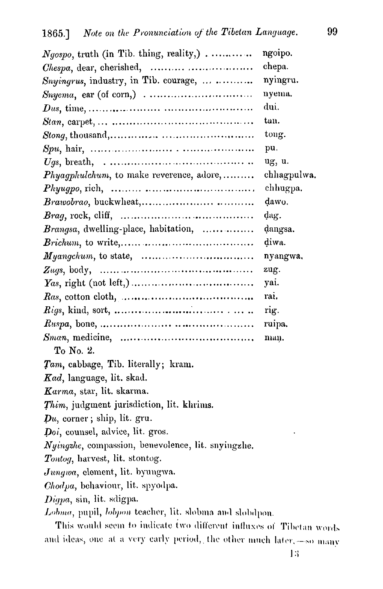| $Ngospo$ , truth (in Tib. thing, reality,)                                            | ngoipo.     |  |
|---------------------------------------------------------------------------------------|-------------|--|
| <i>Chespa</i> , dear, cherished,                                                      | chepa.      |  |
| Snyingrus, industry, in Tib. courage, $\ldots$                                        | nyingru.    |  |
|                                                                                       | nyema.      |  |
|                                                                                       | dui.        |  |
|                                                                                       | tan.        |  |
|                                                                                       | tong.       |  |
|                                                                                       | pu.         |  |
|                                                                                       | ug, u.      |  |
| $Phyagphulchum$ , to make reverence, adore,                                           | chhagpulwa. |  |
|                                                                                       | chhugpa.    |  |
|                                                                                       | dawo.       |  |
|                                                                                       | dag.        |  |
| <i>Brangsa</i> , dwelling-place, habitation,                                          | dangsa.     |  |
|                                                                                       | diwa.       |  |
|                                                                                       | nyangwa.    |  |
|                                                                                       | zug.        |  |
|                                                                                       | yai.        |  |
| $\textit{Has}, \text{ cotton cloth}, \dots, \dots, \dots, \dots, \dots, \dots, \dots$ | rai.        |  |
|                                                                                       | rig.        |  |
|                                                                                       | ruipa.      |  |
|                                                                                       | man.        |  |
| To No. 2.                                                                             |             |  |
| Tam, cabbage, Tib. literally; kram.                                                   |             |  |
| Kad, language, lit. skad.                                                             |             |  |
| Karma, star, lit. skarma.                                                             |             |  |
| <i>Thim</i> , judgment jurisdiction, lit. khrims.                                     |             |  |
| $\mathbf{p}_u$ , corner; ship, lit. gru.                                              |             |  |
| Doi, counsel, advice, lit. gros.                                                      |             |  |
| Nyingzhe, compassion, benevolence, lit. snyingzhe,                                    |             |  |
| Tontog, harvest, lit. stontog.                                                        |             |  |
| Jungwa, element, lit. byungwa.                                                        |             |  |
| Chodpa, behaviour, lit. spyodpa.                                                      |             |  |
| Digpa, sin, lit. sdigpa.                                                              |             |  |
| Lobma, pupil, lobpon teacher, lit. slobma and slobdpon.                               |             |  |
| This would seem to indicate two different influxes of Tibetan words                   |             |  |
| and ideas, one at a very early period, the other much later,-so many                  |             |  |